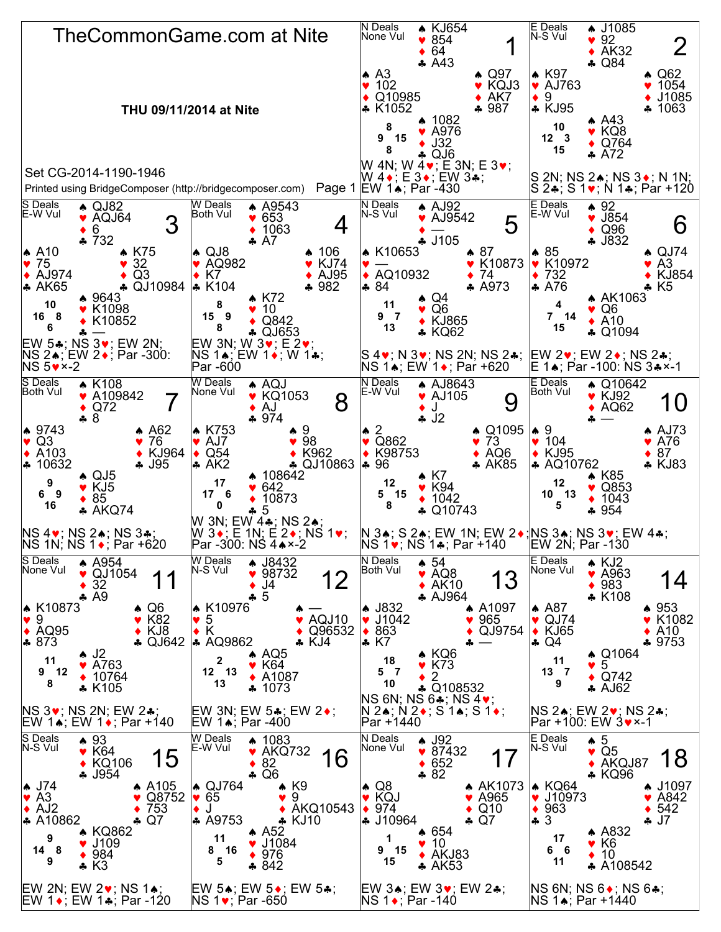